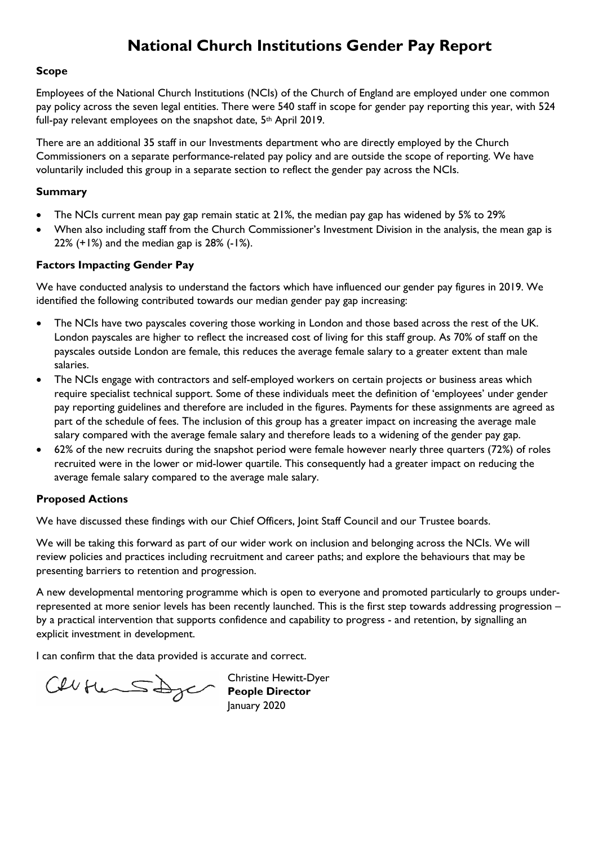# **National Church Institutions Gender Pay Report**

#### **Scope**

Employees of the National Church Institutions (NCIs) of the Church of England are employed under one common pay policy across the seven legal entities. There were 540 staff in scope for gender pay reporting this year, with 524 full-pay relevant employees on the snapshot date, 5<sup>th</sup> April 2019.

There are an additional 35 staff in our Investments department who are directly employed by the Church Commissioners on a separate performance-related pay policy and are outside the scope of reporting. We have voluntarily included this group in a separate section to reflect the gender pay across the NCIs.

## **Summary**

- The NCIs current mean pay gap remain static at 21%, the median pay gap has widened by 5% to 29%
- When also including staff from the Church Commissioner's Investment Division in the analysis, the mean gap is 22% (+1%) and the median gap is 28% (-1%).

## **Factors Impacting Gender Pay**

We have conducted analysis to understand the factors which have influenced our gender pay figures in 2019. We identified the following contributed towards our median gender pay gap increasing:

- The NCIs have two payscales covering those working in London and those based across the rest of the UK. London payscales are higher to reflect the increased cost of living for this staff group. As 70% of staff on the payscales outside London are female, this reduces the average female salary to a greater extent than male salaries.
- The NCIs engage with contractors and self-employed workers on certain projects or business areas which require specialist technical support. Some of these individuals meet the definition of 'employees' under gender pay reporting guidelines and therefore are included in the figures. Payments for these assignments are agreed as part of the schedule of fees. The inclusion of this group has a greater impact on increasing the average male salary compared with the average female salary and therefore leads to a widening of the gender pay gap.
- 62% of the new recruits during the snapshot period were female however nearly three quarters (72%) of roles recruited were in the lower or mid-lower quartile. This consequently had a greater impact on reducing the average female salary compared to the average male salary.

## **Proposed Actions**

We have discussed these findings with our Chief Officers, Joint Staff Council and our Trustee boards.

We will be taking this forward as part of our wider work on inclusion and belonging across the NCIs. We will review policies and practices including recruitment and career paths; and explore the behaviours that may be presenting barriers to retention and progression.

A new developmental mentoring programme which is open to everyone and promoted particularly to groups underrepresented at more senior levels has been recently launched. This is the first step towards addressing progression – by a practical intervention that supports confidence and capability to progress - and retention, by signalling an explicit investment in development.

I can confirm that the data provided is accurate and correct.

Cellitier Schope Director

Christine Hewitt-Dyer January 2020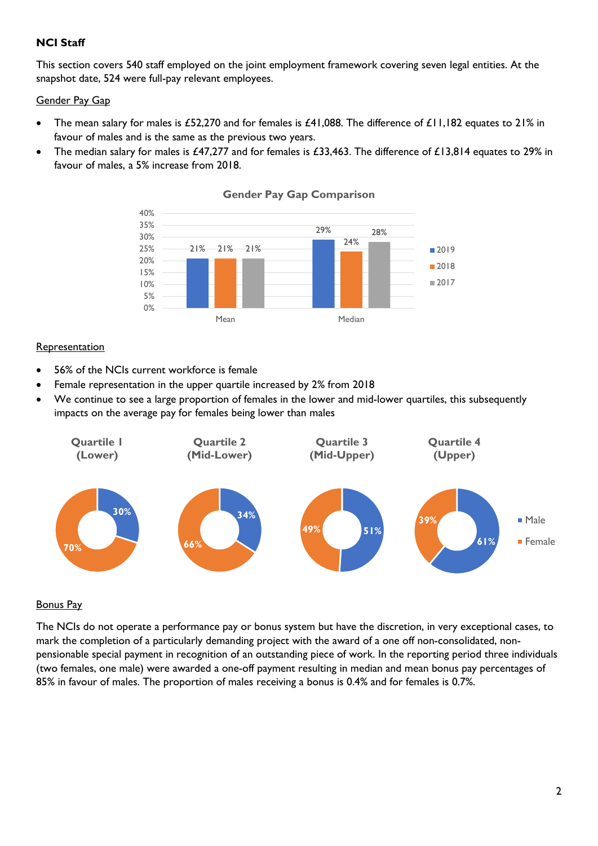# **NCI Staff**

This section covers 540 staff employed on the joint employment framework covering seven legal entities. At the snapshot date, 524 were full-pay relevant employees.

## Gender Pay Gap

- The mean salary for males is £52,270 and for females is £41,088. The difference of £11,182 equates to 21% in favour of males and is the same as the previous two years.
- The median salary for males is £47,277 and for females is £33,463. The difference of £13,814 equates to 29% in favour of males, a 5% increase from 2018.



#### **Gender Pay Gap Comparison**

## Representation

- 56% of the NCIs current workforce is female
- Female representation in the upper quartile increased by 2% from 2018
- We continue to see a large proportion of females in the lower and mid-lower quartiles, this subsequently impacts on the average pay for females being lower than males



## Bonus Pay

The NCIs do not operate a performance pay or bonus system but have the discretion, in very exceptional cases, to mark the completion of a particularly demanding project with the award of a one off non-consolidated, nonpensionable special payment in recognition of an outstanding piece of work. In the reporting period three individuals (two females, one male) were awarded a one-off payment resulting in median and mean bonus pay percentages of 85% in favour of males. The proportion of males receiving a bonus is 0.4% and for females is 0.7%.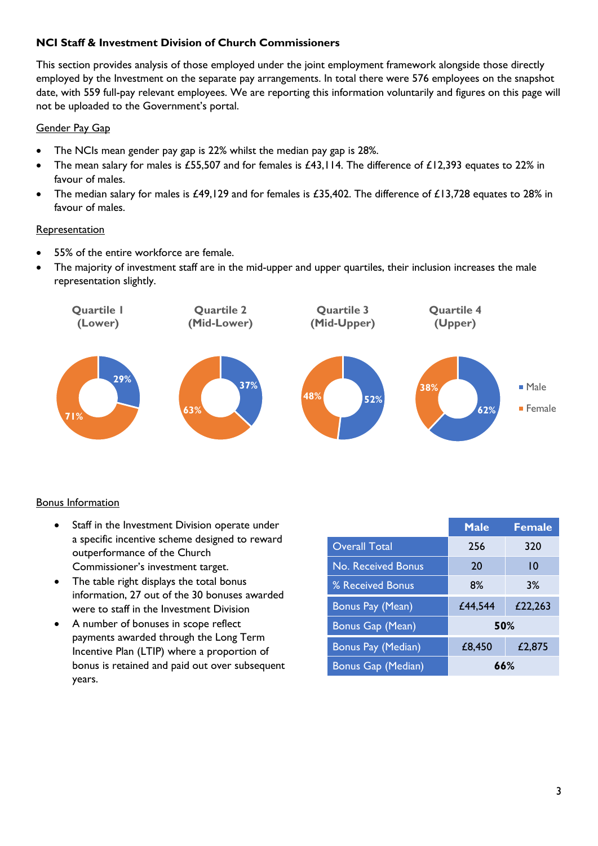# **NCI Staff & Investment Division of Church Commissioners**

This section provides analysis of those employed under the joint employment framework alongside those directly employed by the Investment on the separate pay arrangements. In total there were 576 employees on the snapshot date, with 559 full-pay relevant employees. We are reporting this information voluntarily and figures on this page will not be uploaded to the Government's portal.

# Gender Pay Gap

- The NCIs mean gender pay gap is 22% whilst the median pay gap is 28%.
- The mean salary for males is £55,507 and for females is £43,114. The difference of £12,393 equates to 22% in favour of males.
- The median salary for males is £49,129 and for females is £35,402. The difference of £13,728 equates to 28% in favour of males.

# **Representation**

- 55% of the entire workforce are female.
- The majority of investment staff are in the mid-upper and upper quartiles, their inclusion increases the male representation slightly.



# Bonus Information

- Staff in the Investment Division operate under a specific incentive scheme designed to reward outperformance of the Church Commissioner's investment target.
- The table right displays the total bonus information, 27 out of the 30 bonuses awarded were to staff in the Investment Division
- A number of bonuses in scope reflect payments awarded through the Long Term Incentive Plan (LTIP) where a proportion of bonus is retained and paid out over subsequent years.

|                      | <b>Male</b> | <b>Female</b> |
|----------------------|-------------|---------------|
| <b>Overall Total</b> | 256         | 320           |
| No. Received Bonus   | 20          | 10            |
| % Received Bonus     | 8%          | 3%            |
| Bonus Pay (Mean)     | £44,544     | £22,263       |
| Bonus Gap (Mean)     | 50%         |               |
| Bonus Pay (Median)   | £8,450      | £2,875        |
| Bonus Gap (Median)   | 66%         |               |